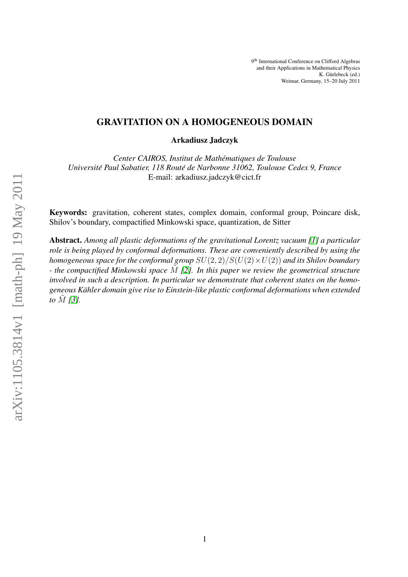# GRAVITATION ON A HOMOGENEOUS DOMAIN

Arkadiusz Jadczyk

*Center CAIROS, Institut de Mathematiques de Toulouse ´ Universite Paul Sabatier, 118 Rout ´ e de Narbonne 31062, Toulouse Cedex 9, France ´* E-mail: arkadiusz.jadczyk@cict.fr

Keywords: gravitation, coherent states, complex domain, conformal group, Poincare disk, Shilov's boundary, compactified Minkowski space, quantization, de Sitter

Abstract. *Among all plastic deformations of the gravitational Lorentz vacuum [\[1\]](#page-9-0) a particular role is being played by conformal deformations. These are conveniently described by using the homogeneous space for the conformal group*  $SU(2, 2)/S(U(2) \times U(2))$  *and its Shilov boundary - the compactified Minkowski space* M˜ *[\[2\]](#page-9-1). In this paper we review the geometrical structure involved in such a description. In particular we demonstrate that coherent states on the homogeneous Kahler domain give rise to Einstein-like plastic conformal deformations when extended ¨ to M* [\[3\]](#page-9-2)*.*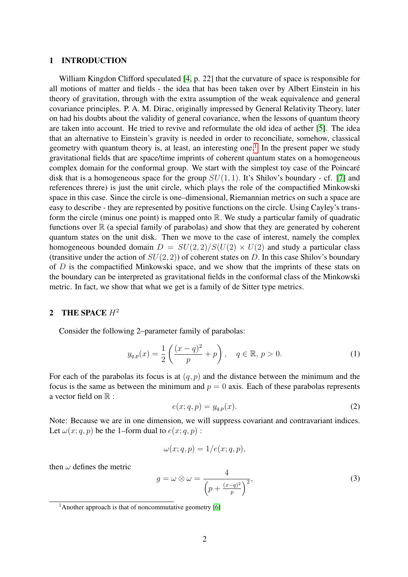### 1 INTRODUCTION

William Kingdon Clifford speculated [\[4,](#page-9-3) p. 22] that the curvature of space is responsible for all motions of matter and fields - the idea that has been taken over by Albert Einstein in his theory of gravitation, through with the extra assumption of the weak equivalence and general covariance principles. P. A. M. Dirac, originally impressed by General Relativity Theory, later on had his doubts about the validity of general covariance, when the lessons of quantum theory are taken into account. He tried to revive and reformulate the old idea of aether [\[5\]](#page-9-4). The idea that an alternative to Einstein's gravity is needed in order to reconciliate, somehow, classical geometry with quantum theory is, at least, an interesting one.<sup>[1](#page-1-0)</sup> In the present paper we study gravitational fields that are space/time imprints of coherent quantum states on a homogeneous complex domain for the conformal group. We start with the simplest toy case of the Poincaré disk that is a homogeneous space for the group  $SU(1, 1)$ . It's Shilov's boundary - cf. [\[7\]](#page-9-5) and references threre) is just the unit circle, which plays the role of the compactified Minkowski space in this case. Since the circle is one–dimensional, Riemannian metrics on such a space are easy to describe - they are represented by positive functions on the circle. Using Cayley's transform the circle (minus one point) is mapped onto  $\mathbb R$ . We study a particular family of quadratic functions over  $\mathbb R$  (a special family of parabolas) and show that they are generated by coherent quantum states on the unit disk. Then we move to the case of interest, namely the complex homogeneous bounded domain  $D = SU(2,2)/S(U(2) \times U(2))$  and study a particular class (transitive under the action of  $SU(2, 2)$ ) of coherent states on D. In this case Shilov's boundary of D is the compactified Minkowski space, and we show that the imprints of these stats on the boundary can be interpreted as gravitational fields in the conformal class of the Minkowski metric. In fact, we show that what we get is a family of de Sitter type metrics.

# 2 THE SPACE  $H^2$

Consider the following 2–parameter family of parabolas:

$$
y_{q,p}(x) = \frac{1}{2} \left( \frac{(x-q)^2}{p} + p \right), \quad q \in \mathbb{R}, \ p > 0.
$$
 (1)

For each of the parabolas its focus is at  $(q, p)$  and the distance between the minimum and the focus is the same as between the minimum and  $p = 0$  axis. Each of these parabolas represents a vector field on  $\mathbb R$  :

<span id="page-1-2"></span>
$$
e(x;q,p) = y_{q,p}(x). \tag{2}
$$

Note: Because we are in one dimension, we will suppress covariant and contravariant indices. Let  $\omega(x; q, p)$  be the 1–form dual to  $e(x; q, p)$ :

$$
\omega(x;q,p) = 1/e(x;q,p),
$$

then  $\omega$  defines the metric

<span id="page-1-1"></span>
$$
g = \omega \otimes \omega = \frac{4}{\left(p + \frac{(x-q)^2}{p}\right)^2},\tag{3}
$$

<span id="page-1-0"></span><sup>&</sup>lt;sup>1</sup>Another approach is that of noncommutative geometry [\[6\]](#page-9-6)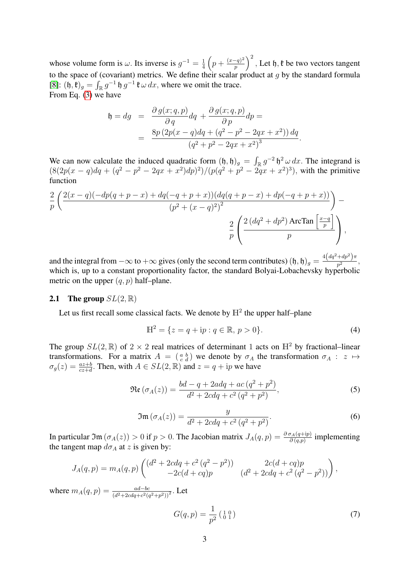whose volume form is  $\omega$ . Its inverse is  $g^{-1} = \frac{1}{4}$  $rac{1}{4} \left( p + \frac{(x-q)^2}{p} \right)$  $\left(\frac{(-q)^2}{p}\right)^2$ , Let h,  $\mathfrak k$  be two vectors tangent to the space of (covariant) metrics. We define their scalar product at  $g$  by the standard formula [\[8\]](#page-9-7):  $(\mathfrak{h}, \mathfrak{k})_g = \int_{\mathbb{R}} g^{-1} \mathfrak{h} g^{-1} \mathfrak{k} \omega dx$ , where we omit the trace. From Eq. [\(3\)](#page-1-1) we have

$$
\mathfrak{h} = dg = \frac{\partial g(x; q, p)}{\partial q} dq + \frac{\partial g(x; q, p)}{\partial p} dp =
$$
  
= 
$$
\frac{8p (2p(x - q) dq + (q^2 - p^2 - 2qx + x^2)) dq}{(q^2 + p^2 - 2qx + x^2)^3}.
$$

We can now calculate the induced quadratic form  $(\mathfrak{h}, \mathfrak{h})_g = \int_{\mathbb{R}} g^{-2} \mathfrak{h}^2 \omega dx$ . The integrand is  $(8(2p(x - q)dq + (q^2 - p^2 - 2qx + x^2)dp)^2)/(p(q^2 + p^2 - 2qx + x^2)^3)$ , with the primitive function

$$
\frac{2}{p} \left( \frac{2(x-q)(-dp(q+p-x) + dq(-q+p+x))(dq(q+p-x) + dp(-q+p+x))}{(p^2 + (x-q)^2)^2} \right) - \frac{2}{p} \left( \frac{2(dq^2 + dp^2) \arctan\left[\frac{x-q}{p}\right]}{p} \right),
$$

and the integral from  $-\infty$  to  $+\infty$  gives (only the second term contributes)  $(\mathfrak{h}, \mathfrak{h})_g = \frac{4(dq^2 + dp^2)\pi}{n^2}$  $\frac{1}{p^2}$ , which is, up to a constant proportionality factor, the standard Bolyai-Lobachevsky hyperbolic metric on the upper  $(q, p)$  half–plane.

# **2.1** The group  $SL(2,\mathbb{R})$

Let us first recall some classical facts. We denote by  $\mathbb{H}^2$  the upper half-plane

<span id="page-2-0"></span>
$$
\mathbb{H}^2 = \{ z = q + \mathrm{i}p : q \in \mathbb{R}, \, p > 0 \}. \tag{4}
$$

The group  $SL(2,\mathbb{R})$  of  $2 \times 2$  real matrices of determinant 1 acts on  $\mathbb{H}^2$  by fractional–linear transformations. For a matrix  $A = \begin{pmatrix} a & b \\ c & d \end{pmatrix}$  we denote by  $\sigma_A$  the transformation  $\sigma_A : z \mapsto$  $\sigma_g(z) = \frac{az+b}{cz+d}$ . Then, with  $A \in SL(2,\mathbb{R})$  and  $z = q + ip$  we have

$$
\Re\mathfrak{e}\left(\sigma_A(z)\right) = \frac{bd - q + 2adq + ac\left(q^2 + p^2\right)}{d^2 + 2cdq + c^2\left(q^2 + p^2\right)},\tag{5}
$$

$$
\mathfrak{Im}\left(\sigma_A(z)\right) = \frac{y}{d^2 + 2cdq + c^2 \left(q^2 + p^2\right)}.
$$
\n
$$
(6)
$$

<span id="page-2-1"></span>In particular  $\mathfrak{Im}(\sigma_A(z)) > 0$  if  $p > 0$ . The Jacobian matrix  $J_A(q, p) = \frac{\partial \sigma_A(q+ip)}{\partial (q,p)}$  implementing the tangent map  $d\sigma_A$  at z is given by:

$$
J_A(q,p) = m_A(q,p) \begin{pmatrix} (d^2 + 2cdq + c^2(q^2 - p^2)) & 2c(d + cq)p \\ -2c(d + cq)p & (d^2 + 2cdq + c^2(q^2 - p^2)) \end{pmatrix},
$$

where  $m_A(q, p) = \frac{ad-bc}{(d^2+2cdq+c^2(q^2+p^2))^2}$ . Let

<span id="page-2-2"></span>
$$
G(q,p) = \frac{1}{p^2} \left( \begin{smallmatrix} 1 & 0 \\ 0 & 1 \end{smallmatrix} \right) \tag{7}
$$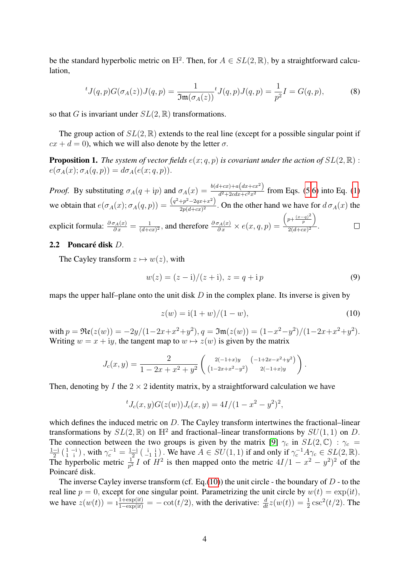be the standard hyperbolic metric on  $\mathbb{H}^2$ . Then, for  $A \in SL(2,\mathbb{R})$ , by a straightforward calculation,

$$
{}^{t}J(q,p)G(\sigma_{A}(z))J(q,p) = \frac{1}{\Im \mathfrak{m}(\sigma_{A}(z))} {}^{t}J(q,p)J(q,p) = \frac{1}{p^{2}}I = G(q,p),
$$
 (8)

so that G is invariant under  $SL(2, \mathbb{R})$  transformations.

The group action of  $SL(2,\mathbb{R})$  extends to the real line (except for a possible singular point if  $cx + d = 0$ , which we will also denote by the letter  $\sigma$ .

**Proposition 1.** *The system of vector fields*  $e(x; q, p)$  *is covariant under the action of*  $SL(2, \mathbb{R})$  :  $e(\sigma_A(x); \sigma_A(q, p)) = d\sigma_A(e(x; q, p)).$ 

*Proof.* By substituting  $\sigma_A(q+ip)$  and  $\sigma_A(x) = \frac{b(d+cx)+(a(dx+cx^2))}{d^2+2cdx+c^2x^2}$  $\frac{d^2+2cdx+cx^2}{d^2+2cdx+c^2x^2}$  from Eqs. [\(5](#page-2-0)[,6\)](#page-2-1) into Eq. [\(1\)](#page-1-2) we obtain that  $e(\sigma_A(x); \sigma_A(q, p)) = \frac{(q^2+p^2-2qx+x^2)}{2p(d+cx)^2}$  $\frac{2p}{2p(d+cx)^2}$ . On the other hand we have for  $d \sigma_A(x)$  the  $\left(p+\frac{(x-q)^2}{p}\right)$  $\setminus$ explicit formula:  $\frac{\partial \sigma_A(x)}{\partial x} = \frac{1}{(d+\alpha)x}$  $\frac{1}{(d+cx)^2}$ , and therefore  $\frac{\partial \sigma_A(x)}{\partial x} \times e(x, q, p) =$ p  $\frac{P}{2(d+cx)^2}$ .  $\Box$ 

## 2.2 Poncaré disk  $D$ .

The Cayley transform  $z \mapsto w(z)$ , with

$$
w(z) = (z - i)/(z + i), z = q + i p
$$
\n(9)

maps the upper half–plane onto the unit disk  $D$  in the complex plane. Its inverse is given by

<span id="page-3-0"></span>
$$
z(w) = i(1+w)/(1-w),
$$
\n(10)

with  $p = \Re(z(w)) = -2y/(1-2x+x^2+y^2), q = \Im(z(w)) = (1-x^2-y^2)/(1-2x+x^2+y^2).$ Writing  $w = x + iy$ , the tangent map to  $w \mapsto z(w)$  is given by the matrix

$$
J_c(x,y) = \frac{2}{1 - 2x + x^2 + y^2} \left( \frac{2(-1+x)y}{(1 - 2x + x^2 - y^2)} \left( \frac{-1 + 2x - x^2 + y^2}{2(-1+x)y} \right) \right).
$$

Then, denoting by I the  $2 \times 2$  identity matrix, by a straightforward calculation we have

$$
{}^{t}J_c(x,y)G(z(w))J_c(x,y) = 4I/(1-x^2-y^2)^2,
$$

which defines the induced metric on D. The Cayley transform intertwines the fractional–linear transformations by  $SL(2,\mathbb{R})$  on  $\mathbb{H}^2$  and fractional–linear transformations by  $SU(1,1)$  on D. The connection between the two groups is given by the matrix [\[9\]](#page-9-8)  $\gamma_c$  in  $SL(2,\mathbb{C})$  :  $\gamma_c$  =  $1 - i$  $\frac{-i}{2}$   $\left(\begin{smallmatrix} 1 & -i \\ 1 & i \end{smallmatrix}\right)$  , with  $\gamma_c^{-1} = \frac{1-i}{2}$  $\frac{-i}{2}$  ( $\frac{i}{-1}$  i). We have  $A \in SU(1,1)$  if and only if  $\gamma_c^{-1} A \gamma_c \in SL(2,\mathbb{R})$ . The hyperbolic metric  $\frac{1}{p^2}I$  of  $H^2$  is then mapped onto the metric  $4I/1 - x^2 - y^2$  of the Poincaré disk.

The inverse Cayley inverse transform (cf. Eq.[\(10\)](#page-3-0)) the unit circle - the boundary of  $D$  - to the real line  $p = 0$ , except for one singular point. Parametrizing the unit circle by  $w(t) = \exp(it)$ , we have  $z(w(t)) = 1 + \frac{1 + \exp(it)}{1 - \exp(it)} = -\cot(t/2)$ , with the derivative:  $\frac{d}{dt}z(w(t)) = \frac{1}{2}\csc^2(t/2)$ . The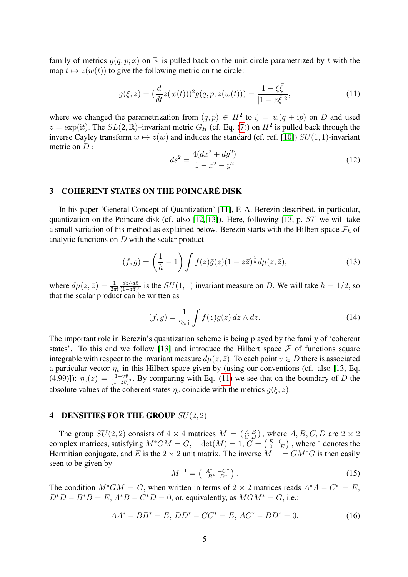family of metrics  $g(q, p; x)$  on R is pulled back on the unit circle parametrized by t with the map  $t \mapsto z(w(t))$  to give the following metric on the circle:

$$
g(\xi; z) = \left(\frac{d}{dt}z(w(t))\right)^2 g(q, p; z(w(t))) = \frac{1 - \xi\bar{\xi}}{|1 - z\bar{\xi}|^2},\tag{11}
$$

where we changed the parametrization from  $(q, p) \in H^2$  to  $\xi = w(q + ip)$  on D and used  $z = \exp(it)$ . The  $SL(2,\mathbb{R})$ -invariant metric  $G_H$  (cf. Eq. [\(7\)](#page-2-2)) on  $H^2$  is pulled back through the inverse Cayley transform  $w \mapsto z(w)$  and induces the standard (cf. ref. [\[10\]](#page-9-9))  $SU(1, 1)$ -invariant metric on  $D$  :

<span id="page-4-0"></span>
$$
ds^2 = \frac{4(dx^2 + dy^2)}{1 - x^2 - y^2}.
$$
\n(12)

# 3 COHERENT STATES ON THE POINCARE DISK ´

In his paper 'General Concept of Quantization' [\[11\]](#page-9-10), F. A. Berezin described, in particular, quantization on the Poincaré disk (cf. also  $[12, 13]$  $[12, 13]$ ). Here, following  $[13, p. 57]$  $[13, p. 57]$  we will take a small variation of his method as explained below. Berezin starts with the Hilbert space  $\mathcal{F}_h$  of analytic functions on  $D$  with the scalar product

$$
(f,g) = \left(\frac{1}{h} - 1\right) \int f(z)\bar{g}(z)(1 - z\bar{z})^{\frac{1}{h}} d\mu(z,\bar{z}),\tag{13}
$$

where  $d\mu(z,\bar{z}) = \frac{1}{2\pi i}$  $dz\wedge d\bar{z}$  $\frac{dz\wedge dz}{(1-z\bar{z})^2}$  is the  $SU(1, 1)$  invariant measure on D. We will take  $h = 1/2$ , so that the scalar product can be written as

$$
(f,g) = \frac{1}{2\pi i} \int f(z)\bar{g}(z) dz \wedge d\bar{z}.
$$
 (14)

The important role in Berezin's quantization scheme is being played by the family of 'coherent states'. To this end we follow [\[13\]](#page-9-12) and introduce the Hilbert space  $\mathcal F$  of functions square integrable with respect to the invariant measure  $d\mu(z, \bar{z})$ . To each point  $v \in D$  there is associated a particular vector  $\eta_v$  in this Hilbert space given by (using our conventions (cf. also [\[13,](#page-9-12) Eq. (4.99)]):  $\eta_v(z) = \frac{1-v\bar{v}}{(1-z\bar{v})^2}$ . By comparing with Eq. [\(11\)](#page-4-0) we see that on the boundary of D the absolute values of the coherent states  $\eta_v$  coincide with the metrics  $q(\xi; z)$ .

## 4 DENSITIES FOR THE GROUP  $SU(2, 2)$

The group  $SU(2, 2)$  consists of  $4 \times 4$  matrices  $M = \begin{pmatrix} A & B \\ C & D \end{pmatrix}$ , where  $A, B, C, D$  are  $2 \times 2$ complex matrices, satisfying  $M^*GM = G$ ,  $\det(M) = 1$ ,  $G = \begin{pmatrix} E & 0 \\ 0 & -E \end{pmatrix}$ , where  $*$  denotes the Hermitian conjugate, and E is the 2  $\times$  2 unit matrix. The inverse  $M^{-1} = GM^*G$  is then easily seen to be given by

<span id="page-4-1"></span>
$$
M^{-1} = \left(\begin{array}{cc} A^* & -C^* \\ -B^* & D^* \end{array}\right). \tag{15}
$$

The condition  $M^*GM = G$ , when written in terms of 2 × 2 matrices reads  $A^*A - C^* = E$ ,  $D^*D - B^*B = E$ ,  $A^*B - C^*D = 0$ , or, equivalently, as  $MGM^* = G$ , i.e.:

<span id="page-4-2"></span>
$$
AA^* - BB^* = E, DD^* - CC^* = E, AC^* - BD^* = 0.
$$
 (16)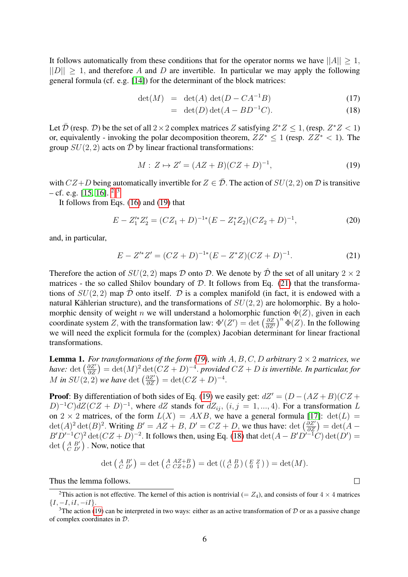It follows automatically from these conditions that for the operator norms we have  $||A|| \geq 1$ ,  $||D|| \geq 1$ , and therefore A and D are invertible. In particular we may apply the following general formula (cf. e.g. [\[14\]](#page-9-13)) for the determinant of the block matrices:

<span id="page-5-4"></span>
$$
\det(M) = \det(A) \det(D - CA^{-1}B) \tag{17}
$$

<span id="page-5-2"></span>
$$
= \det(D) \det(A - BD^{-1}C). \tag{18}
$$

Let  $\bar{\mathcal{D}}$  (resp.  $\mathcal{D}$ ) be the set of all  $2 \times 2$  complex matrices Z satisfying  $Z^*Z \leq 1$ , (resp.  $Z^*Z < 1$ ) or, equivalently - invoking the polar decomposition theorem,  $ZZ^*$  < 1 (resp.  $ZZ^*$  < 1). The group  $SU(2, 2)$  acts on  $\overline{\mathcal{D}}$  by linear fractional transformations:

$$
M: Z \mapsto Z' = (AZ + B)(CZ + D)^{-1}, \tag{19}
$$

with  $CZ+D$  being automatically invertible for  $Z \in \overline{\mathcal{D}}$ . The action of  $SU(2, 2)$  on  $\mathcal D$  is transitive  $-$  cf. e.g. [\[15,](#page-9-14) [16\]](#page-9-15),  $^{2}$  $^{2}$  $^{2}$  <sup>3</sup>

It follows from Eqs. [\(16\)](#page-4-1) and [\(19\)](#page-5-2) that

<span id="page-5-3"></span>
$$
E - Z_1^{\prime *} Z_2^{\prime} = (CZ_1 + D)^{-1*} (E - Z_1^* Z_2)(CZ_2 + D)^{-1},\tag{20}
$$

and, in particular,

$$
E - Z'^{*}Z' = (CZ + D)^{-1*}(E - Z^{*}Z)(CZ + D)^{-1}.
$$
\n(21)

Therefore the action of  $SU(2, 2)$  maps D onto D. We denote by D the set of all unitary  $2 \times 2$ matrices - the so called Shilov boundary of  $D$ . It follows from Eq. [\(21\)](#page-5-3) that the transformations of  $SU(2, 2)$  map  $\overline{D}$  onto itself.  $\overline{D}$  is a complex manifold (in fact, it is endowed with a natural Kählerian structure), and the transformations of  $SU(2, 2)$  are holomorphic. By a holomorphic density of weight n we will understand a holomorphic function  $\Phi(Z)$ , given in each coordinate system Z, with the transformation law:  $\Phi'(Z') = \det \left( \frac{\partial Z}{\partial Z} \right)$  $\frac{\partial Z}{\partial Z'}$ <sup>n</sup>  $\Phi(Z)$ . In the following we will need the explicit formula for the (complex) Jacobian determinant for linear fractional transformations.

<span id="page-5-5"></span>**Lemma 1.** For transformations of the form [\(19\)](#page-5-2), with  $A, B, C, D$  arbitrary  $2 \times 2$  matrices, we *have:*  $\det\left(\frac{\partial Z'}{\partial Z}\right) = \det(M)^2 \det(CZ + D)^{-4}$ . *provided*  $CZ + D$  *is invertible. In particular, for* M in  $SU(2, 2)$  we have det  $\left(\frac{\partial Z'}{\partial Z}\right) = \det(CZ + D)^{-4}$ .

**Proof:** By differentiation of both sides of Eq. [\(19\)](#page-5-2) we easily get:  $dZ' = (D - (AZ + B)(CZ + D))$  $(D)^{-1}C)dZ(CZ+D)^{-1}$ , where dZ stands for  $dZ_{ij}$ ,  $(i, j = 1, ..., 4)$ . For a transformation L on 2 × 2 matrices, of the form  $L(X) = AXB$ , we have a general formula [\[17\]](#page-9-16):  $det(L)$  =  $\det(A)^2 \det(B)^2$ . Writing  $B' = AZ + B$ ,  $D' = CZ + D$ , we thus have:  $\det\left(\frac{\partial Z'}{\partial Z}\right) = \det(A - B)$  $B'D'^{-1}C)^2 \det(CZ+D)^{-2}$ . It follows then, using Eq. [\(18\)](#page-5-4) that  $\det(A-B'D'^{-1}\hat{C}) \det(D') =$ det  $\begin{pmatrix} A & B' \\ C & D' \end{pmatrix}$ . Now, notice that

$$
\det\left(\begin{smallmatrix} A & B' \\ C & D' \end{smallmatrix}\right) = \det\left(\begin{smallmatrix} A & AZ+B \\ C & CZ+D \end{smallmatrix}\right) = \det\left(\begin{smallmatrix} A & B \\ C & D \end{smallmatrix}\right)\left(\begin{smallmatrix} E & Z \\ 0 & 1 \end{smallmatrix}\right)\right) = \det(M).
$$

Thus the lemma follows.

 $\Box$ 

<span id="page-5-0"></span><sup>&</sup>lt;sup>2</sup>This action is not effective. The kernel of this action is nontrivial (=  $Z_4$ ), and consists of four  $4 \times 4$  matrices  ${I, -I, iI, -iI}.$ 

<span id="page-5-1"></span><sup>&</sup>lt;sup>3</sup>The action [\(19\)](#page-5-2) can be interpreted in two ways: either as an active transformation of  $D$  or as a passive change of complex coordinates in D.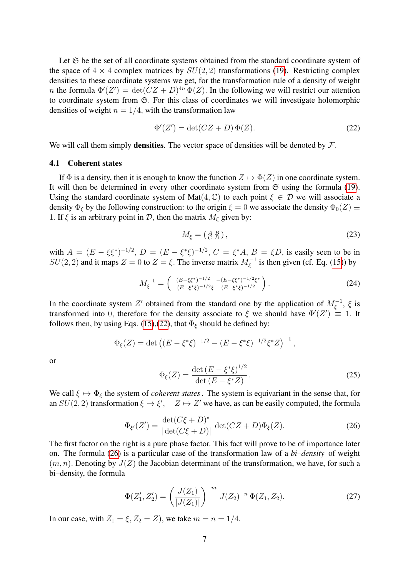Let  $\mathfrak S$  be the set of all coordinate systems obtained from the standard coordinate system of the space of  $4 \times 4$  complex matrices by  $SU(2, 2)$  transformations [\(19\)](#page-5-2). Restricting complex densities to these coordinate systems we get, for the transformation rule of a density of weight *n* the formula  $\Phi'(Z') = \det(CZ + D)^{4n} \Phi(Z)$ . In the following we will restrict our attention to coordinate system from S. For this class of coordinates we will investigate holomorphic densities of weight  $n = 1/4$ , with the transformation law

<span id="page-6-0"></span>
$$
\Phi'(Z') = \det(CZ + D)\,\Phi(Z). \tag{22}
$$

We will call them simply **densities**. The vector space of densities will be denoted by  $\mathcal{F}$ .

#### 4.1 Coherent states

If  $\Phi$  is a density, then it is enough to know the function  $Z \mapsto \Phi(Z)$  in one coordinate system. It will then be determined in every other coordinate system from  $\mathfrak S$  using the formula [\(19\)](#page-5-2). Using the standard coordinate system of Mat $(4, \mathbb{C})$  to each point  $\xi \in \mathcal{D}$  we will associate a density  $\Phi_{\xi}$  by the following construction: to the origin  $\xi = 0$  we associate the density  $\Phi_0(Z) \equiv$ 1. If  $\xi$  is an arbitrary point in D, then the matrix  $M_{\xi}$  given by:

$$
M_{\xi} = \begin{pmatrix} A & B \\ C & D \end{pmatrix},\tag{23}
$$

with  $A = (E - \xi \xi^*)^{-1/2}$ ,  $D = (E - \xi^* \xi)^{-1/2}$ ,  $C = \xi^* A$ ,  $B = \xi D$ , is easily seen to be in  $SU(2, 2)$  and it maps  $Z = 0$  to  $Z = \xi$ . The inverse matrix  $M_{\xi}^{-1}$  is then given (cf. Eq. [\(15\)](#page-4-2)) by

$$
M_{\xi}^{-1} = \begin{pmatrix} (E - \xi \xi^*)^{-1/2} & -(E - \xi \xi^*)^{-1/2} \xi^* \\ -(E - \xi^* \xi)^{-1/2} \xi & (E - \xi^* \xi)^{-1/2} \end{pmatrix} . \tag{24}
$$

In the coordinate system Z' obtained from the standard one by the application of  $M_{\xi}^{-1}$ ,  $\xi$  is transformed into 0, therefore for the density associate to  $\xi$  we should have  $\Phi'(Z') \equiv 1$ . It follows then, by using Eqs. [\(15\)](#page-4-2),[\(22\)](#page-6-0), that  $\Phi_{\varepsilon}$  should be defined by:

$$
\Phi_{\xi}(Z) = \det \left( (E - \xi^* \xi)^{-1/2} - (E - \xi^* \xi)^{-1/2} \xi^* Z \right)^{-1},
$$

<span id="page-6-2"></span>or

$$
\Phi_{\xi}(Z) = \frac{\det (E - \xi^* \xi)^{1/2}}{\det (E - \xi^* Z)}.
$$
\n(25)

<span id="page-6-1"></span>We call  $\xi \mapsto \Phi_{\xi}$  the system of *coherent states*. The system is equivariant in the sense that, for an  $SU(2, 2)$  transformation  $\xi \mapsto \xi'$ ,  $Z \mapsto Z'$  we have, as can be easily computed, the formula

$$
\Phi_{\xi'}(Z') = \frac{\det(C\xi + D)^*}{|\det(C\xi + D)|} \det(CZ + D)\Phi_{\xi}(Z). \tag{26}
$$

The first factor on the right is a pure phase factor. This fact will prove to be of importance later on. The formula [\(26\)](#page-6-1) is a particular case of the transformation law of a *bi–density* of weight  $(m, n)$ . Denoting by  $J(Z)$  the Jacobian determinant of the transformation, we have, for such a bi–density, the formula

<span id="page-6-3"></span>
$$
\Phi(Z'_1, Z'_2) = \left(\frac{J(Z_1)}{|J(Z_1)|}\right)^{-m} J(Z_2)^{-n} \Phi(Z_1, Z_2).
$$
\n(27)

In our case, with  $Z_1 = \xi$ ,  $Z_2 = Z$ ), we take  $m = n = 1/4$ .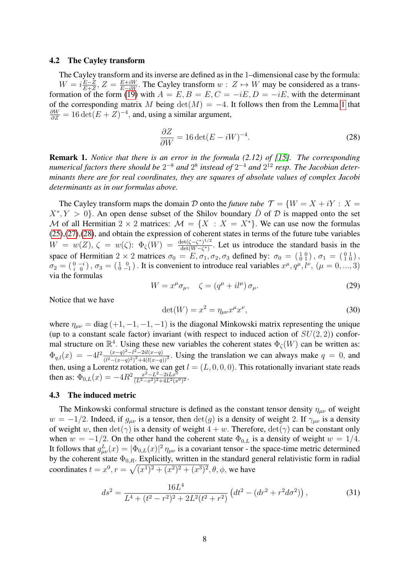#### 4.2 The Cayley transform

The Cayley transform and its inverse are defined as in the 1–dimensional case by the formula:  $W = i\frac{E-Z}{E+Z}$  $\frac{E-Z}{E+Z}$ ,  $Z = \frac{E+iW}{E-iW}$ . The Cayley transform  $w: Z \mapsto W$  may be considered as a trans-formation of the form [\(19\)](#page-5-2) with  $A = E, B = E, C = -iE, D = -iE$ , with the determinant of the corresponding matrix M being  $det(M) = -4$ . It follows then from the Lemma [1](#page-5-5) that  $\frac{\partial W}{\partial Z} = 16 \det(E + Z)^{-4}$ , and, using a similar argument,

<span id="page-7-0"></span>
$$
\frac{\partial Z}{\partial W} = 16 \det(E - iW)^{-4}.
$$
 (28)

**Remark 1.** *Notice that there is an error in the formula (2.12) of [\[15\]](#page-9-14). The corresponding numerical factors there should be*  $2^{-8}$  *and*  $2^{8}$  *instead of*  $2^{-4}$  *and*  $2^{12}$  *resp. The Jacobian determinants there are for real coordinates, they are squares of absolute values of complex Jacobi determinants as in our formulas above.*

The Cayley transform maps the domain D onto the *future tube*  $\mathcal{T} = \{W = X + iY : X =$  $X^*, Y > 0$ . An open dense subset of the Shilov boundary  $\hat{D}$  of  $\hat{D}$  is mapped onto the set M of all Hermitian 2  $\times$  2 matrices:  $\mathcal{M} = \{X : X = X^*\}$ . We can use now the formulas [\(25\)](#page-6-2),[\(27\)](#page-6-3),[\(28\)](#page-7-0), and obtain the expression of coherent states in terms of the future tube variables  $W = w(Z), \zeta = w(\zeta) : \Phi_{\zeta}(W) = \frac{\det(\zeta - \zeta^*)^{1/2}}{\det(W - \zeta^*)}$  $\frac{\det((\zeta - \zeta^*)^{1/2})}{\det(W - \zeta^*)}$ . Let us introduce the standard basis in the space of Hermitian  $2 \times 2$  matrices  $\sigma_0 = E$ ,  $\sigma_1$ ,  $\sigma_2$ ,  $\sigma_3$  defined by:  $\sigma_0 = \begin{pmatrix} 1 & 0 \\ 0 & 1 \end{pmatrix}$ ,  $\sigma_1 = \begin{pmatrix} 0 & 1 \\ 1 & 0 \end{pmatrix}$ ,  $\sigma_2 = \begin{pmatrix} 0 & -i \\ i & 0 \end{pmatrix}$ ,  $\sigma_3 = \begin{pmatrix} 1 & 0 \\ 0 & -1 \end{pmatrix}$ . It is convenient to introduce real variables  $x^\mu, q^\mu, l^\nu, (\mu = 0, ..., 3)$ via the formulas

$$
W = x^{\mu} \sigma_{\mu}, \quad \zeta = (q^{\mu} + i l^{\mu}) \sigma_{\mu}.
$$
 (29)

Notice that we have

$$
\det(W) = x^2 = \eta_{\mu\nu} x^\mu x^\nu, \tag{30}
$$

where  $\eta_{\mu\nu} = \text{diag}(+1, -1, -1, -1)$  is the diagonal Minkowski matrix representing the unique (up to a constant scale factor) invariant (with respect to induced action of  $SU(2, 2)$ ) conformal structure on  $\mathbb{R}^4$ . Using these new variables the coherent states  $\Phi_{\zeta}(W)$  can be written as:  $\Phi_{q,l}(x) = -4l^2 \frac{(x-q)^2 - l^2 - 2il(x-q)}{(l^2 - (x-q)^2)^2 + 4(l(x-q))}$  $\frac{(x-q)^{2}-l^{2}-2i\ell(x-q)}{(l^{2}-(x-q)^{2})^{2}+4(l(x-q))^{2}}$ . Using the translation we can always make  $q=0$ , and then, using a Lorentz rotation, we can get  $l = (L, 0, 0, 0)$ . This rotationally invariant state reads then as:  $\Phi_{0,L}(x) = -4R^2 \frac{x^2 - L^2 - 2iLx^0}{(L^2 - x^2)^2 + 4L^2(x)}$  $\frac{x^2 - L^2 - 2i L x^0}{(L^2 - x^2)^2 + 4L^2(x^0)^2}.$ 

## 4.3 The induced metric

The Minkowski conformal structure is defined as the constant tensor density  $\eta_{\mu\nu}$  of weight  $w = -1/2$ . Indeed, if  $g_{\mu\nu}$  is a tensor, then  $det(g)$  is a density of weight 2. If  $\gamma_{\mu\nu}$  is a density of weight w, then  $\det(\gamma)$  is a density of weight  $4 + w$ . Therefore,  $\det(\gamma)$  can be constant only when  $w = -1/2$ . On the other hand the coherent state  $\Phi_{0,L}$  is a density of weight  $w = 1/4$ . It follows that  $g_{\mu\nu}^L(x) = |\Phi_{0,L}(x)|^2 \eta_{\mu\nu}$  is a covariant tensor - the space-time metric determined by the coherent state  $\Phi_{0,R}$ . Explicitly, written in the standard general relativistic form in radial coordinates  $t = x^0, r = \sqrt{(x^1)^2 + (x^2)^2 + (x^3)^2}, \theta, \phi$ , we have

<span id="page-7-1"></span>
$$
ds^{2} = \frac{16L^{4}}{L^{4} + (t^{2} - r^{2})^{2} + 2L^{2}(t^{2} + r^{2})} \left(dt^{2} - (dr^{2} + r^{2}d\sigma^{2})\right),
$$
\n(31)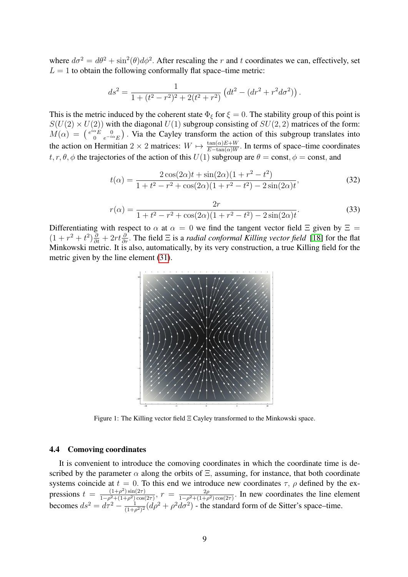where  $d\sigma^2 = d\theta^2 + \sin^2(\theta) d\phi^2$ . After rescaling the r and t coordinates we can, effectively, set  $L = 1$  to obtain the following conformally flat space–time metric:

$$
ds^{2} = \frac{1}{1 + (t^{2} - r^{2})^{2} + 2(t^{2} + r^{2})} \left( dt^{2} - (dr^{2} + r^{2} d\sigma^{2}) \right).
$$

This is the metric induced by the coherent state  $\Phi_{\xi}$  for  $\xi = 0$ . The stability group of this point is  $S(U(2) \times U(2))$  with the diagonal  $U(1)$  subgroup consisting of  $SU(2, 2)$  matrices of the form:  $M(\alpha) = \begin{pmatrix} e^{i\alpha}E & 0 \\ 0 & e^{-i\alpha}\end{pmatrix}$  $\binom{\alpha_E}{0}$  e<sup>−iα</sup>E). Via the Cayley transform the action of this subgroup translates into the action on Hermitian 2  $\times$  2 matrices:  $W \mapsto \frac{\tan(\alpha)E+W}{E-\tan(\alpha)W}$ . In terms of space–time coordinates  $t, r, \theta, \phi$  the trajectories of the action of this  $U(1)$  subgroup are  $\theta = \text{const}, \phi = \text{const}$ , and

$$
t(\alpha) = \frac{2\cos(2\alpha)t + \sin(2\alpha)(1+r^2-t^2)}{1+t^2-r^2+\cos(2\alpha)(1+r^2-t^2)-2\sin(2\alpha)t},
$$
\n(32)

$$
r(\alpha) = \frac{2r}{1 + t^2 - r^2 + \cos(2\alpha)(1 + r^2 - t^2) - 2\sin(2\alpha)t}.
$$
\n(33)

Differentiating with respect to  $\alpha$  at  $\alpha = 0$  we find the tangent vector field  $\Xi$  given by  $\Xi =$  $(1 + r^2 + t^2)\frac{\partial}{\partial t} + 2rt\frac{\partial}{\partial r}$ . The field  $\Xi$  is a *radial conformal Killing vector field* [\[18\]](#page-9-17) for the flat Minkowski metric. It is also, automatically, by its very construction, a true Killing field for the metric given by the line element [\(31\)](#page-7-1).



Figure 1: The Killing vector field Ξ Cayley transformed to the Minkowski space.

## 4.4 Comoving coordinates

It is convenient to introduce the comoving coordinates in which the coordinate time is described by the parameter  $\alpha$  along the orbits of  $\Xi$ , assuming, for instance, that both coordinate systems coincide at  $t = 0$ . To this end we introduce new coordinates  $\tau$ ,  $\rho$  defined by the expressions  $t = \frac{(1+\rho^2)\sin(2\tau)}{1-\rho^2+(1+\rho^2)\cos(\rho)}$  $\frac{(1+\rho^2)\sin(2\tau)}{1-\rho^2+(1+\rho^2)\cos(2\tau)}, r = \frac{2\rho}{1-\rho^2+(1+\rho^2)}$  $\frac{2\rho}{1-\rho^2+(1+\rho^2)\cos(2\tau)}$ . In new coordinates the line element becomes  $ds^2 = d\tau^2 - \frac{1}{(1+t)}$  $\frac{1}{(1+\rho^2)^2} (d\rho^2 + \rho^2 d\sigma^2)$  - the standard form of de Sitter's space–time.